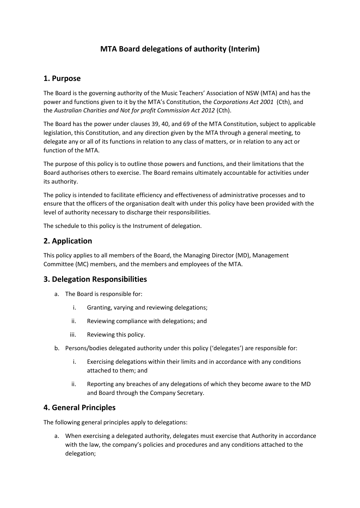# **MTA Board delegations of authority (Interim)**

## **1. Purpose**

The Board is the governing authority of the Music Teachers' Association of NSW (MTA) and has the power and functions given to it by the MTA's Constitution, the *Corporations Act 2001* (Cth), and the *Australian Charities and Not for profit Commission Act 2012* (Cth).

The Board has the power under clauses 39, 40, and 69 of the MTA Constitution, subject to applicable legislation, this Constitution, and any direction given by the MTA through a general meeting, to delegate any or all of its functions in relation to any class of matters, or in relation to any act or function of the MTA.

The purpose of this policy is to outline those powers and functions, and their limitations that the Board authorises others to exercise. The Board remains ultimately accountable for activities under its authority.

The policy is intended to facilitate efficiency and effectiveness of administrative processes and to ensure that the officers of the organisation dealt with under this policy have been provided with the level of authority necessary to discharge their responsibilities.

The schedule to this policy is the Instrument of delegation.

## **2. Application**

This policy applies to all members of the Board, the Managing Director (MD), Management Committee (MC) members, and the members and employees of the MTA.

## **3. Delegation Responsibilities**

- a. The Board is responsible for:
	- i. Granting, varying and reviewing delegations;
	- ii. Reviewing compliance with delegations; and
	- iii. Reviewing this policy.
- b. Persons/bodies delegated authority under this policy ('delegates') are responsible for:
	- i. Exercising delegations within their limits and in accordance with any conditions attached to them; and
	- ii. Reporting any breaches of any delegations of which they become aware to the MD and Board through the Company Secretary.

# **4. General Principles**

The following general principles apply to delegations:

a. When exercising a delegated authority, delegates must exercise that Authority in accordance with the law, the company's policies and procedures and any conditions attached to the delegation;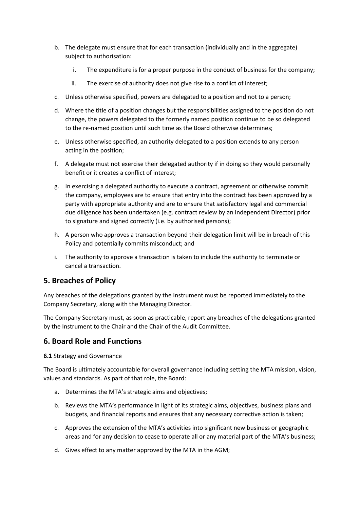- b. The delegate must ensure that for each transaction (individually and in the aggregate) subject to authorisation:
	- i. The expenditure is for a proper purpose in the conduct of business for the company;
	- ii. The exercise of authority does not give rise to a conflict of interest;
- c. Unless otherwise specified, powers are delegated to a position and not to a person;
- d. Where the title of a position changes but the responsibilities assigned to the position do not change, the powers delegated to the formerly named position continue to be so delegated to the re-named position until such time as the Board otherwise determines;
- e. Unless otherwise specified, an authority delegated to a position extends to any person acting in the position;
- f. A delegate must not exercise their delegated authority if in doing so they would personally benefit or it creates a conflict of interest;
- g. In exercising a delegated authority to execute a contract, agreement or otherwise commit the company, employees are to ensure that entry into the contract has been approved by a party with appropriate authority and are to ensure that satisfactory legal and commercial due diligence has been undertaken (e.g. contract review by an Independent Director) prior to signature and signed correctly (i.e. by authorised persons);
- h. A person who approves a transaction beyond their delegation limit will be in breach of this Policy and potentially commits misconduct; and
- i. The authority to approve a transaction is taken to include the authority to terminate or cancel a transaction.

# **5. Breaches of Policy**

Any breaches of the delegations granted by the Instrument must be reported immediately to the Company Secretary, along with the Managing Director.

The Company Secretary must, as soon as practicable, report any breaches of the delegations granted by the Instrument to the Chair and the Chair of the Audit Committee.

## **6. Board Role and Functions**

**6.1** Strategy and Governance

The Board is ultimately accountable for overall governance including setting the MTA mission, vision, values and standards. As part of that role, the Board:

- a. Determines the MTA's strategic aims and objectives;
- b. Reviews the MTA's performance in light of its strategic aims, objectives, business plans and budgets, and financial reports and ensures that any necessary corrective action is taken;
- c. Approves the extension of the MTA's activities into significant new business or geographic areas and for any decision to cease to operate all or any material part of the MTA's business;
- d. Gives effect to any matter approved by the MTA in the AGM;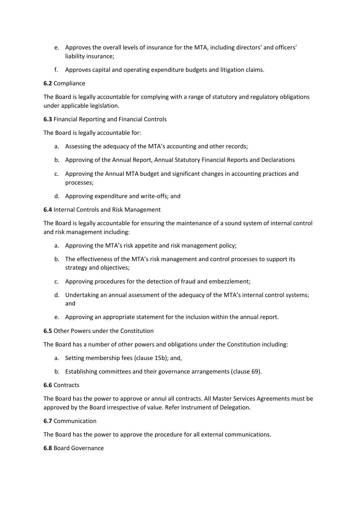- e. Approves the overall levels of insurance for the MTA, including directors' and officers' liability insurance;
- f. Approves capital and operating expenditure budgets and litigation claims.

### **6.2** Compliance

The Board is legally accountable for complying with a range of statutory and regulatory obligations under applicable legislation.

**6.3** Financial Reporting and Financial Controls

The Board is legally accountable for:

- a. Assessing the adequacy of the MTA's accounting and other records;
- b. Approving of the Annual Report, Annual Statutory Financial Reports and Declarations
- c. Approving the Annual MTA budget and significant changes in accounting practices and processes;
- d. Approving expenditure and write-offs; and

#### **6.4** Internal Controls and Risk Management

The Board is legally accountable for ensuring the maintenance of a sound system of internal control and risk management including:

- a. Approving the MTA's risk appetite and risk management policy;
- b. The effectiveness of the MTA's risk management and control processes to support its strategy and objectives;
- c. Approving procedures for the detection of fraud and embezzlement;
- d. Undertaking an annual assessment of the adequacy of the MTA's internal control systems; and
- e. Approving an appropriate statement for the inclusion within the annual report.

### **6.5** Other Powers under the Constitution

The Board has a number of other powers and obligations under the Constitution including:

- a. Setting membership fees (clause 15b); and,
- b. Establishing committees and their governance arrangements (clause 69).

#### **6.6** Contracts

The Board has the power to approve or annul all contracts. All Master Services Agreements must be approved by the Board irrespective of value. Refer Instrument of Delegation.

### **6.7** Communication

The Board has the power to approve the procedure for all external communications.

#### **6.8** Board Governance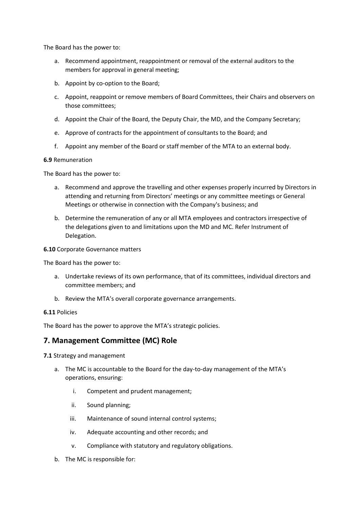The Board has the power to:

- a. Recommend appointment, reappointment or removal of the external auditors to the members for approval in general meeting;
- b. Appoint by co-option to the Board;
- c. Appoint, reappoint or remove members of Board Committees, their Chairs and observers on those committees;
- d. Appoint the Chair of the Board, the Deputy Chair, the MD, and the Company Secretary;
- e. Approve of contracts for the appointment of consultants to the Board; and
- f. Appoint any member of the Board or staff member of the MTA to an external body.

#### **6.9** Remuneration

The Board has the power to:

- a. Recommend and approve the travelling and other expenses properly incurred by Directors in attending and returning from Directors' meetings or any committee meetings or General Meetings or otherwise in connection with the Company's business; and
- b. Determine the remuneration of any or all MTA employees and contractors irrespective of the delegations given to and limitations upon the MD and MC. Refer Instrument of Delegation.

#### **6.10** Corporate Governance matters

The Board has the power to:

- a. Undertake reviews of its own performance, that of its committees, individual directors and committee members; and
- b. Review the MTA's overall corporate governance arrangements.

#### **6.11** Policies

The Board has the power to approve the MTA's strategic policies.

## **7. Management Committee (MC) Role**

- **7.1** Strategy and management
	- a. The MC is accountable to the Board for the day-to-day management of the MTA's operations, ensuring:
		- i. Competent and prudent management;
		- ii. Sound planning;
		- iii. Maintenance of sound internal control systems;
		- iv. Adequate accounting and other records; and
		- v. Compliance with statutory and regulatory obligations.
	- b. The MC is responsible for: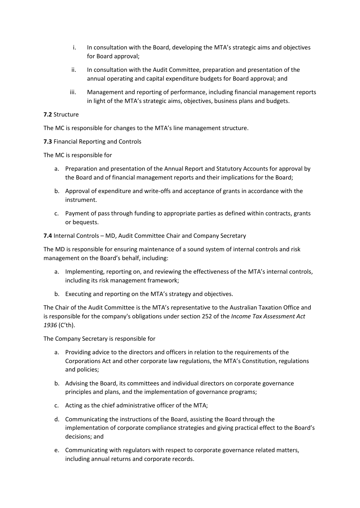- i. In consultation with the Board, developing the MTA's strategic aims and objectives for Board approval;
- ii. In consultation with the Audit Committee, preparation and presentation of the annual operating and capital expenditure budgets for Board approval; and
- iii. Management and reporting of performance, including financial management reports in light of the MTA's strategic aims, objectives, business plans and budgets.

### **7.2** Structure

The MC is responsible for changes to the MTA's line management structure.

**7.3** Financial Reporting and Controls

The MC is responsible for

- a. Preparation and presentation of the Annual Report and Statutory Accounts for approval by the Board and of financial management reports and their implications for the Board;
- b. Approval of expenditure and write-offs and acceptance of grants in accordance with the instrument.
- c. Payment of pass through funding to appropriate parties as defined within contracts, grants or bequests.

**7.4** Internal Controls – MD, Audit Committee Chair and Company Secretary

The MD is responsible for ensuring maintenance of a sound system of internal controls and risk management on the Board's behalf, including:

- a. Implementing, reporting on, and reviewing the effectiveness of the MTA's internal controls, including its risk management framework;
- b. Executing and reporting on the MTA's strategy and objectives.

The Chair of the Audit Committee is the MTA's representative to the Australian Taxation Office and is responsible for the company's obligations under section 252 of the *Income Tax Assessment Act 1936* (C'th).

The Company Secretary is responsible for

- a. Providing advice to the directors and officers in relation to the requirements of the Corporations Act and other corporate law regulations, the MTA's Constitution, regulations and policies;
- b. Advising the Board, its committees and individual directors on corporate governance principles and plans, and the implementation of governance programs;
- c. Acting as the chief administrative officer of the MTA;
- d. Communicating the instructions of the Board, assisting the Board through the implementation of corporate compliance strategies and giving practical effect to the Board's decisions; and
- e. Communicating with regulators with respect to corporate governance related matters, including annual returns and corporate records.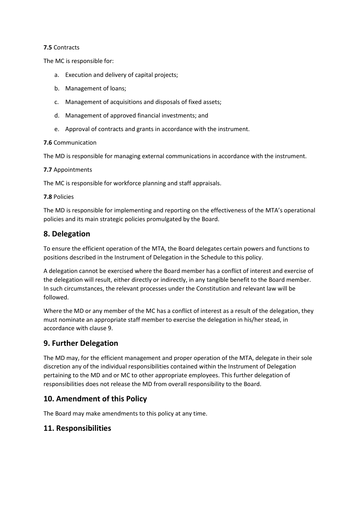### **7.5** Contracts

The MC is responsible for:

- a. Execution and delivery of capital projects;
- b. Management of loans;
- c. Management of acquisitions and disposals of fixed assets;
- d. Management of approved financial investments; and
- e. Approval of contracts and grants in accordance with the instrument.

### **7.6** Communication

The MD is responsible for managing external communications in accordance with the instrument.

### **7.7** Appointments

The MC is responsible for workforce planning and staff appraisals.

### **7.8** Policies

The MD is responsible for implementing and reporting on the effectiveness of the MTA's operational policies and its main strategic policies promulgated by the Board.

# **8. Delegation**

To ensure the efficient operation of the MTA, the Board delegates certain powers and functions to positions described in the Instrument of Delegation in the Schedule to this policy.

A delegation cannot be exercised where the Board member has a conflict of interest and exercise of the delegation will result, either directly or indirectly, in any tangible benefit to the Board member. In such circumstances, the relevant processes under the Constitution and relevant law will be followed.

Where the MD or any member of the MC has a conflict of interest as a result of the delegation, they must nominate an appropriate staff member to exercise the delegation in his/her stead, in accordance with clause 9.

# **9. Further Delegation**

The MD may, for the efficient management and proper operation of the MTA, delegate in their sole discretion any of the individual responsibilities contained within the Instrument of Delegation pertaining to the MD and or MC to other appropriate employees. This further delegation of responsibilities does not release the MD from overall responsibility to the Board.

# **10. Amendment of this Policy**

The Board may make amendments to this policy at any time.

# **11. Responsibilities**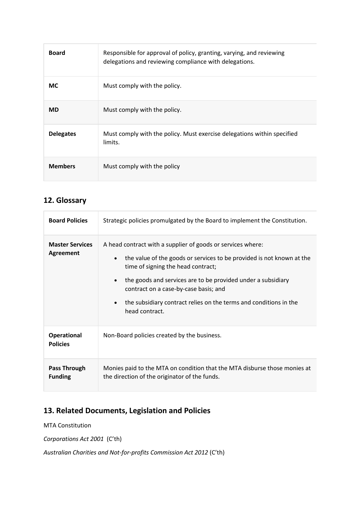| <b>Board</b>     | Responsible for approval of policy, granting, varying, and reviewing<br>delegations and reviewing compliance with delegations. |
|------------------|--------------------------------------------------------------------------------------------------------------------------------|
| <b>MC</b>        | Must comply with the policy.                                                                                                   |
| <b>MD</b>        | Must comply with the policy.                                                                                                   |
| <b>Delegates</b> | Must comply with the policy. Must exercise delegations within specified<br>limits.                                             |
| <b>Members</b>   | Must comply with the policy                                                                                                    |

# **12. Glossary**

| <b>Board Policies</b>                 | Strategic policies promulgated by the Board to implement the Constitution.                                                                                                                                                                                                                                                                                                                                        |  |  |
|---------------------------------------|-------------------------------------------------------------------------------------------------------------------------------------------------------------------------------------------------------------------------------------------------------------------------------------------------------------------------------------------------------------------------------------------------------------------|--|--|
| <b>Master Services</b><br>Agreement   | A head contract with a supplier of goods or services where:<br>the value of the goods or services to be provided is not known at the<br>$\bullet$<br>time of signing the head contract;<br>the goods and services are to be provided under a subsidiary<br>$\bullet$<br>contract on a case-by-case basis; and<br>the subsidiary contract relies on the terms and conditions in the<br>$\bullet$<br>head contract. |  |  |
| <b>Operational</b><br><b>Policies</b> | Non-Board policies created by the business.                                                                                                                                                                                                                                                                                                                                                                       |  |  |
| <b>Pass Through</b><br><b>Funding</b> | Monies paid to the MTA on condition that the MTA disburse those monies at<br>the direction of the originator of the funds.                                                                                                                                                                                                                                                                                        |  |  |

# **13. Related Documents, Legislation and Policies**

MTA Constitution

*Corporations Act 2001* (C'th)

*Australian Charities and Not-for-profits Commission Act 2012* (C'th)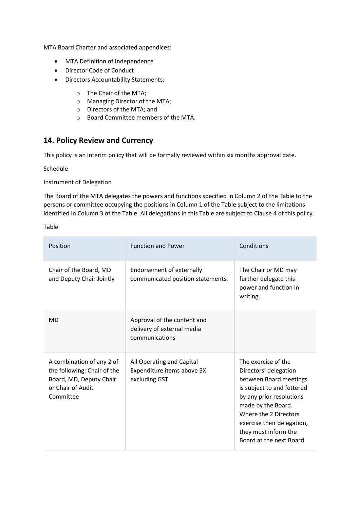MTA Board Charter and associated appendices:

- MTA Definition of Independence
- Director Code of Conduct
- Directors Accountability Statements:
	- o The Chair of the MTA;
	- o Managing Director of the MTA;
	- o Directors of the MTA; and
	- o Board Committee members of the MTA.

## **14. Policy Review and Currency**

This policy is an interim policy that will be formally reviewed within six months approval date.

Schedule

#### Instrument of Delegation

The Board of the MTA delegates the powers and functions specified in Column 2 of the Table to the persons or committee occupying the positions in Column 1 of the Table subject to the limitations identified in Column 3 of the Table. All delegations in this Table are subject to Clause 4 of this policy.

Table

| Position                                                                                                              | <b>Function and Power</b>                                                   | Conditions                                                                                                                                                                                                                                                       |
|-----------------------------------------------------------------------------------------------------------------------|-----------------------------------------------------------------------------|------------------------------------------------------------------------------------------------------------------------------------------------------------------------------------------------------------------------------------------------------------------|
| Chair of the Board, MD<br>and Deputy Chair Jointly                                                                    | Endorsement of externally<br>communicated position statements.              | The Chair or MD may<br>further delegate this<br>power and function in<br>writing.                                                                                                                                                                                |
| <b>MD</b>                                                                                                             | Approval of the content and<br>delivery of external media<br>communications |                                                                                                                                                                                                                                                                  |
| A combination of any 2 of<br>the following: Chair of the<br>Board, MD, Deputy Chair<br>or Chair of Audit<br>Committee | All Operating and Capital<br>Expenditure items above \$X<br>excluding GST   | The exercise of the<br>Directors' delegation<br>between Board meetings<br>is subject to and fettered<br>by any prior resolutions<br>made by the Board.<br>Where the 2 Directors<br>exercise their delegation,<br>they must inform the<br>Board at the next Board |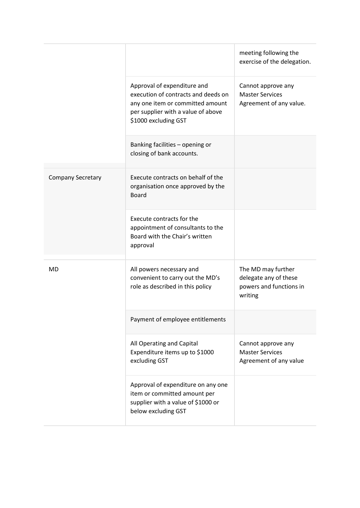|                          |                                                                                                                                                                      | meeting following the<br>exercise of the delegation.                              |
|--------------------------|----------------------------------------------------------------------------------------------------------------------------------------------------------------------|-----------------------------------------------------------------------------------|
|                          | Approval of expenditure and<br>execution of contracts and deeds on<br>any one item or committed amount<br>per supplier with a value of above<br>\$1000 excluding GST | Cannot approve any<br><b>Master Services</b><br>Agreement of any value.           |
|                          | Banking facilities - opening or<br>closing of bank accounts.                                                                                                         |                                                                                   |
| <b>Company Secretary</b> | Execute contracts on behalf of the<br>organisation once approved by the<br><b>Board</b>                                                                              |                                                                                   |
|                          | Execute contracts for the<br>appointment of consultants to the<br>Board with the Chair's written<br>approval                                                         |                                                                                   |
| <b>MD</b>                | All powers necessary and<br>convenient to carry out the MD's<br>role as described in this policy                                                                     | The MD may further<br>delegate any of these<br>powers and functions in<br>writing |
|                          | Payment of employee entitlements                                                                                                                                     |                                                                                   |
|                          | All Operating and Capital<br>Expenditure items up to \$1000<br>excluding GST                                                                                         | Cannot approve any<br><b>Master Services</b><br>Agreement of any value            |
|                          | Approval of expenditure on any one<br>item or committed amount per<br>supplier with a value of \$1000 or<br>below excluding GST                                      |                                                                                   |